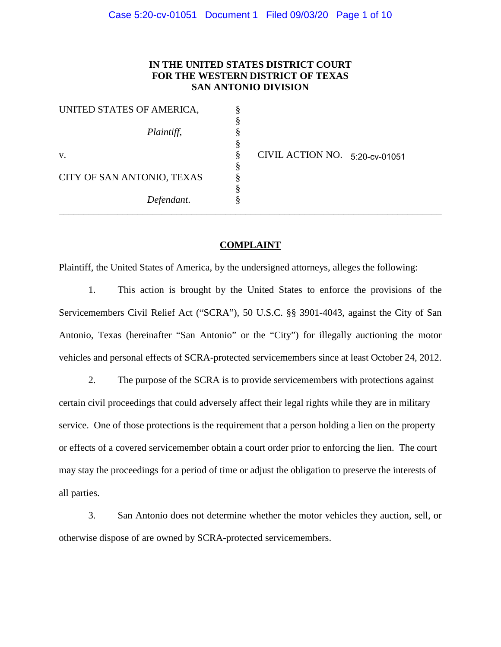# **IN THE UNITED STATES DISTRICT COURT FOR THE WESTERN DISTRICT OF TEXAS SAN ANTONIO DIVISION**

| UNITED STATES OF AMERICA,  |   |                                |  |
|----------------------------|---|--------------------------------|--|
|                            |   |                                |  |
| Plaintiff,                 |   |                                |  |
|                            |   |                                |  |
| V.                         | ø | CIVIL ACTION NO. 5:20-cv-01051 |  |
|                            | c |                                |  |
| CITY OF SAN ANTONIO, TEXAS |   |                                |  |
|                            |   |                                |  |
| Defendant.                 |   |                                |  |

#### **COMPLAINT**

\_\_\_\_\_\_\_\_\_\_\_\_\_\_\_\_\_\_\_\_\_\_\_\_\_\_\_\_\_\_\_\_\_\_\_\_\_\_\_\_\_\_\_\_\_\_\_\_\_\_\_\_\_\_\_\_\_\_\_\_\_\_\_\_\_\_\_\_\_\_\_\_\_\_\_\_\_\_

Plaintiff, the United States of America, by the undersigned attorneys, alleges the following:

1. This action is brought by the United States to enforce the provisions of the Servicemembers Civil Relief Act ("SCRA"), 50 U.S.C. §§ 3901-4043, against the City of San Antonio, Texas (hereinafter "San Antonio" or the "City") for illegally auctioning the motor vehicles and personal effects of SCRA-protected servicemembers since at least October 24, 2012.

2. The purpose of the SCRA is to provide servicemembers with protections against certain civil proceedings that could adversely affect their legal rights while they are in military service. One of those protections is the requirement that a person holding a lien on the property or effects of a covered servicemember obtain a court order prior to enforcing the lien. The court may stay the proceedings for a period of time or adjust the obligation to preserve the interests of all parties.

3. San Antonio does not determine whether the motor vehicles they auction, sell, or otherwise dispose of are owned by SCRA-protected servicemembers.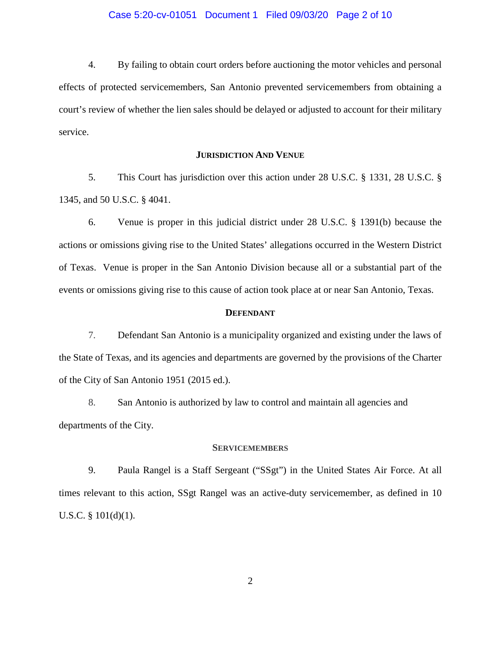#### Case 5:20-cv-01051 Document 1 Filed 09/03/20 Page 2 of 10

 effects of protected servicemembers, San Antonio prevented servicemembers from obtaining a court's review of whether the lien sales should be delayed or adjusted to account for their military 4. By failing to obtain court orders before auctioning the motor vehicles and personal service.

#### **JURISDICTION AND VENUE**

 1345, and 50 U.S.C. § 4041. 5. This Court has jurisdiction over this action under 28 U.S.C. § 1331, 28 U.S.C. §

6. Venue is proper in this judicial district under 28 U.S.C. § 1391(b) because the actions or omissions giving rise to the United States' allegations occurred in the Western District of Texas. Venue is proper in the San Antonio Division because all or a substantial part of the events or omissions giving rise to this cause of action took place at or near San Antonio, Texas.

#### **DEFENDANT**

 7. Defendant San Antonio is a municipality organized and existing under the laws of of the City of San Antonio 1951 (2015 ed.). the State of Texas, and its agencies and departments are governed by the provisions of the Charter

 8. San Antonio is authorized by law to control and maintain all agencies and departments of the City.

#### **SERVICEMEMBERS**

 times relevant to this action, SSgt Rangel was an active-duty servicemember, as defined in 10 9. Paula Rangel is a Staff Sergeant ("SSgt") in the United States Air Force. At all U.S.C. § 101(d)(1).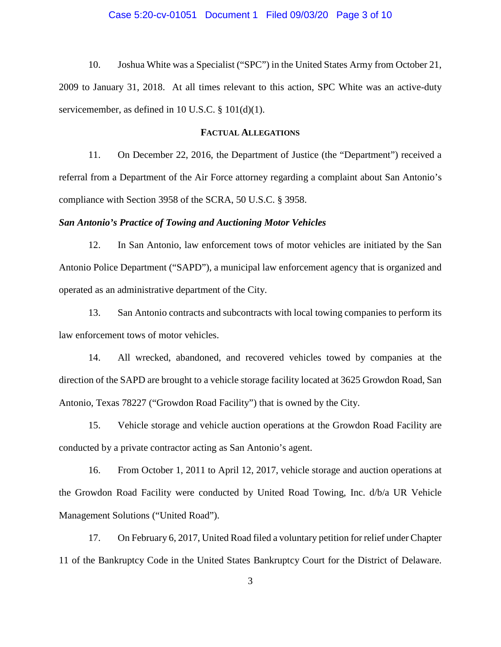#### Case 5:20-cv-01051 Document 1 Filed 09/03/20 Page 3 of 10

 2009 to January 31, 2018. At all times relevant to this action, SPC White was an active-duty 10. Joshua White was a Specialist ("SPC") in the United States Army from October 21, servicemember, as defined in 10 U.S.C. § 101(d)(1).

#### **FACTUAL ALLEGATIONS**

 11. On December 22, 2016, the Department of Justice (the "Department") received a referral from a Department of the Air Force attorney regarding a complaint about San Antonio's compliance with Section 3958 of the SCRA, 50 U.S.C. § 3958.

#### *San Antonio's Practice of Towing and Auctioning Motor Vehicles*

 12. In San Antonio, law enforcement tows of motor vehicles are initiated by the San Antonio Police Department ("SAPD"), a municipal law enforcement agency that is organized and operated as an administrative department of the City.

law enforcement tows of motor vehicles. 13. San Antonio contracts and subcontracts with local towing companies to perform its

 law enforcement tows of motor vehicles. 14. All wrecked, abandoned, and recovered vehicles towed by companies at the Antonio, Texas 78227 ("Growdon Road Facility") that is owned by the City. direction of the SAPD are brought to a vehicle storage facility located at 3625 Growdon Road, San

15. Vehicle storage and vehicle auction operations at the Growdon Road Facility are conducted by a private contractor acting as San Antonio's agent.

 16. From October 1, 2011 to April 12, 2017, vehicle storage and auction operations at the Growdon Road Facility were conducted by United Road Towing, Inc. d/b/a UR Vehicle Management Solutions ("United Road").

 11 of the Bankruptcy Code in the United States Bankruptcy Court for the District of Delaware. 3 17. On February 6, 2017, United Road filed a voluntary petition for relief under Chapter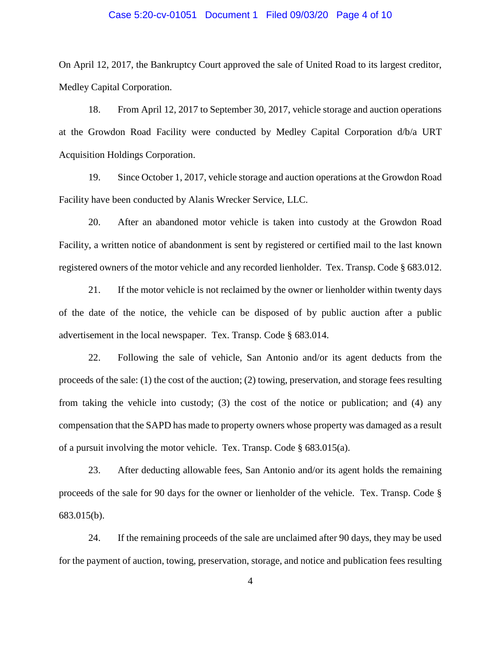#### Case 5:20-cv-01051 Document 1 Filed 09/03/20 Page 4 of 10

 On April 12, 2017, the Bankruptcy Court approved the sale of United Road to its largest creditor, Medley Capital Corporation. Medley Capital Corporation.<br>18. From April 12, 2017 to September 30, 2017, vehicle storage and auction operations

at the Growdon Road Facility were conducted by Medley Capital Corporation d/b/a URT Acquisition Holdings Corporation.

 Facility have been conducted by Alanis Wrecker Service, LLC. 19. Since October 1, 2017, vehicle storage and auction operations at the Growdon Road

 Facility, a written notice of abandonment is sent by registered or certified mail to the last known registered owners of the motor vehicle and any recorded lienholder. Tex. Transp. Code § 683.012. 20. After an abandoned motor vehicle is taken into custody at the Growdon Road

 of the date of the notice, the vehicle can be disposed of by public auction after a public advertisement in the local newspaper. Tex. Transp. Code § 683.014. 21. If the motor vehicle is not reclaimed by the owner or lienholder within twenty days

 22. Following the sale of vehicle, San Antonio and/or its agent deducts from the compensation that the SAPD has made to property owners whose property was damaged as a result of a pursuit involving the motor vehicle. Tex. Transp. Code § 683.015(a). proceeds of the sale: (1) the cost of the auction; (2) towing, preservation, and storage fees resulting from taking the vehicle into custody; (3) the cost of the notice or publication; and (4) any

 23. After deducting allowable fees, San Antonio and/or its agent holds the remaining proceeds of the sale for 90 days for the owner or lienholder of the vehicle. Tex. Transp. Code § 683.015(b).

24. If the remaining proceeds of the sale are unclaimed after 90 days, they may be used for the payment of auction, towing, preservation, storage, and notice and publication fees resulting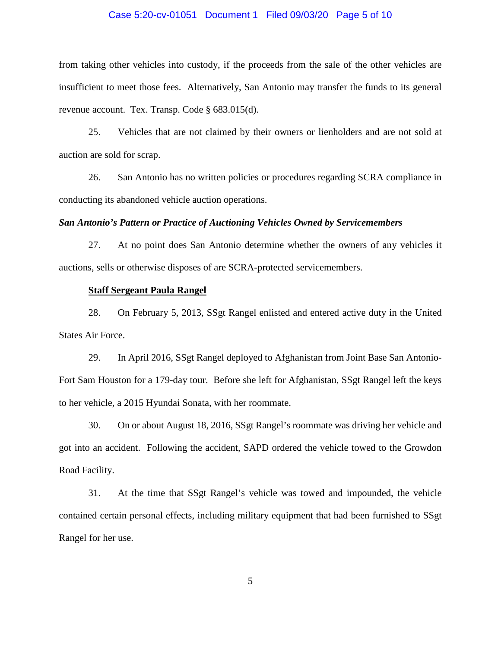#### Case 5:20-cv-01051 Document 1 Filed 09/03/20 Page 5 of 10

 from taking other vehicles into custody, if the proceeds from the sale of the other vehicles are insufficient to meet those fees. Alternatively, San Antonio may transfer the funds to its general revenue account. Tex. Transp. Code § 683.015(d).

 25. Vehicles that are not claimed by their owners or lienholders and are not sold at auction are sold for scrap.

26. San Antonio has no written policies or procedures regarding SCRA compliance in conducting its abandoned vehicle auction operations.

#### *San Antonio's Pattern or Practice of Auctioning Vehicles Owned by Servicemembers*

27. At no point does San Antonio determine whether the owners of any vehicles it auctions, sells or otherwise disposes of are SCRA-protected servicemembers.

#### **Staff Sergeant Paula Rangel**

 28. On February 5, 2013, SSgt Rangel enlisted and entered active duty in the United **States Air Force.** 

29. In April 2016, SSgt Rangel deployed to Afghanistan from Joint Base San Antonio-Fort Sam Houston for a 179-day tour. Before she left for Afghanistan, SSgt Rangel left the keys to her vehicle, a 2015 Hyundai Sonata, with her roommate.

 30. On or about August 18, 2016, SSgt Rangel's roommate was driving her vehicle and got into an accident. Following the accident, SAPD ordered the vehicle towed to the Growdon Road Facility.

 31. At the time that SSgt Rangel's vehicle was towed and impounded, the vehicle Rangel for her use. contained certain personal effects, including military equipment that had been furnished to SSgt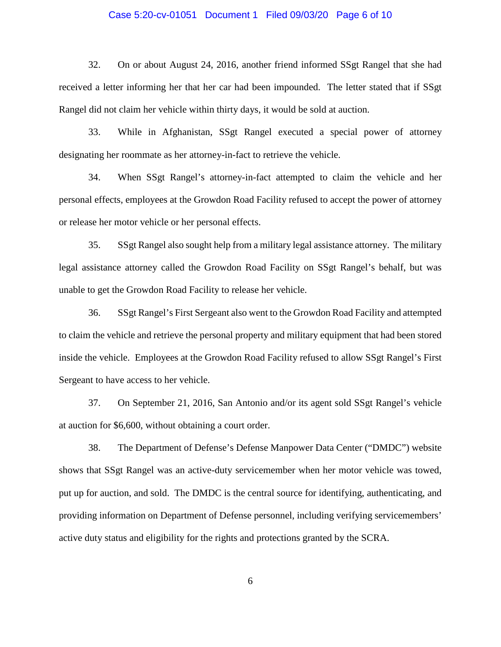# Case 5:20-cv-01051 Document 1 Filed 09/03/20 Page 6 of 10

 32. On or about August 24, 2016, another friend informed SSgt Rangel that she had Rangel did not claim her vehicle within thirty days, it would be sold at auction. received a letter informing her that her car had been impounded. The letter stated that if SSgt

 33. While in Afghanistan, SSgt Rangel executed a special power of attorney designating her roommate as her attorney-in-fact to retrieve the vehicle.

 or release her motor vehicle or her personal effects. 34. When SSgt Rangel's attorney-in-fact attempted to claim the vehicle and her personal effects, employees at the Growdon Road Facility refused to accept the power of attorney

 legal assistance attorney called the Growdon Road Facility on SSgt Rangel's behalf, but was unable to get the Growdon Road Facility to release her vehicle. 35. SSgt Rangel also sought help from a military legal assistance attorney. The military

 36. SSgt Rangel's First Sergeant also went to the Growdon Road Facility and attempted inside the vehicle. Employees at the Growdon Road Facility refused to allow SSgt Rangel's First Sergeant to have access to her vehicle. to claim the vehicle and retrieve the personal property and military equipment that had been stored

 37. On September 21, 2016, San Antonio and/or its agent sold SSgt Rangel's vehicle at auction for \$6,600, without obtaining a court order.

38. The Department of Defense's Defense Manpower Data Center ("DMDC") website shows that SSgt Rangel was an active-duty servicemember when her motor vehicle was towed, put up for auction, and sold. The DMDC is the central source for identifying, authenticating, and providing information on Department of Defense personnel, including verifying servicemembers' active duty status and eligibility for the rights and protections granted by the SCRA.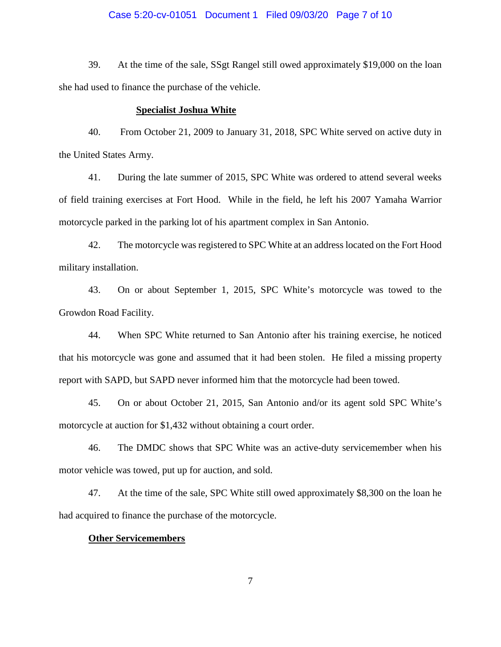### Case 5:20-cv-01051 Document 1 Filed 09/03/20 Page 7 of 10

39. At the time of the sale, SSgt Rangel still owed approximately \$19,000 on the loan she had used to finance the purchase of the vehicle.

#### **Specialist Joshua White**

the United States Army. 40. From October 21, 2009 to January 31, 2018, SPC White served on active duty in

41. During the late summer of 2015, SPC White was ordered to attend several weeks of field training exercises at Fort Hood. While in the field, he left his 2007 Yamaha Warrior motorcycle parked in the parking lot of his apartment complex in San Antonio.

42. The motorcycle was registered to SPC White at an address located on the Fort Hood military installation.

43. On or about September 1, 2015, SPC White's motorcycle was towed to the Growdon Road Facility.

 44. When SPC White returned to San Antonio after his training exercise, he noticed report with SAPD, but SAPD never informed him that the motorcycle had been towed. that his motorcycle was gone and assumed that it had been stolen. He filed a missing property

 45. On or about October 21, 2015, San Antonio and/or its agent sold SPC White's motorcycle at auction for \$1,432 without obtaining a court order.

46. The DMDC shows that SPC White was an active-duty servicemember when his motor vehicle was towed, put up for auction, and sold.

 47. At the time of the sale, SPC White still owed approximately \$8,300 on the loan he had acquired to finance the purchase of the motorcycle.

# **Other Servicemembers**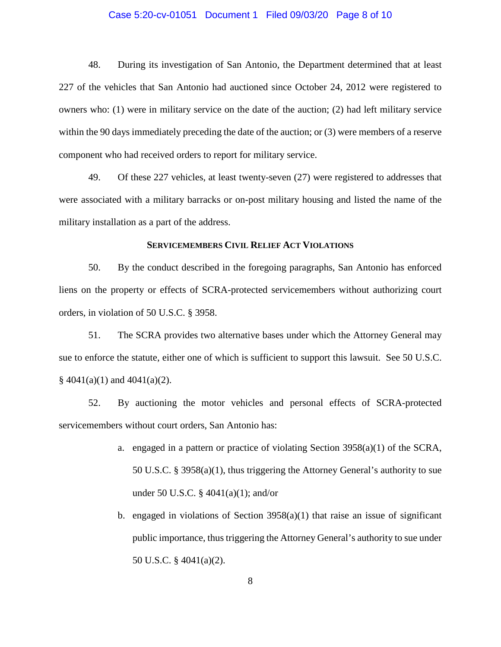# Case 5:20-cv-01051 Document 1 Filed 09/03/20 Page 8 of 10

 48. During its investigation of San Antonio, the Department determined that at least 227 of the vehicles that San Antonio had auctioned since October 24, 2012 were registered to owners who: (1) were in military service on the date of the auction; (2) had left military service within the 90 days immediately preceding the date of the auction; or (3) were members of a reserve component who had received orders to report for military service.

 military installation as a part of the address. 49. Of these 227 vehicles, at least twenty-seven (27) were registered to addresses that were associated with a military barracks or on-post military housing and listed the name of the

#### **SERVICEMEMBERS CIVIL RELIEF ACT VIOLATIONS**

 50. By the conduct described in the foregoing paragraphs, San Antonio has enforced liens on the property or effects of SCRA-protected servicemembers without authorizing court orders, in violation of 50 U.S.C. § 3958.

 51. The SCRA provides two alternative bases under which the Attorney General may sue to enforce the statute, either one of which is sufficient to support this lawsuit. See 50 U.S.C.  $\frac{8}{9}$  4041(a)(1) and 4041(a)(2).

52. By auctioning the motor vehicles and personal effects of SCRA-protected servicemembers without court orders, San Antonio has:

- 50 U.S.C. § 3958(a)(1), thus triggering the Attorney General's authority to sue under 50 U.S.C. § 4041(a)(1); and/or a. engaged in a pattern or practice of violating Section 3958(a)(1) of the SCRA,
- b. engaged in violations of Section  $3958(a)(1)$  that raise an issue of significant public importance, thus triggering the Attorney General's authority to sue under 50 U.S.C. § 4041(a)(2).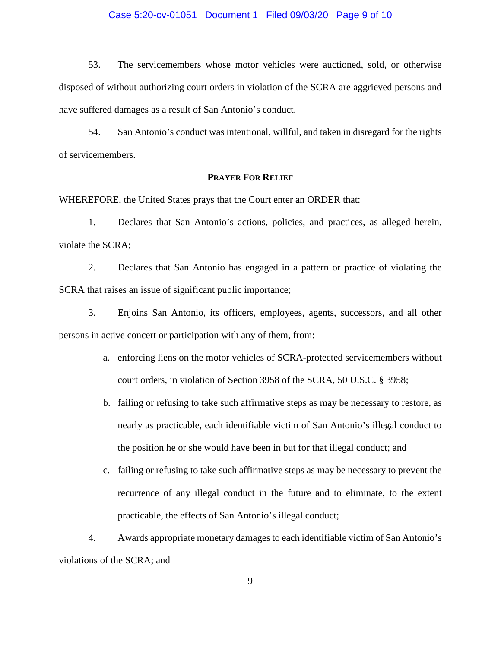#### Case 5:20-cv-01051 Document 1 Filed 09/03/20 Page 9 of 10

 have suffered damages as a result of San Antonio's conduct. 53. The servicemembers whose motor vehicles were auctioned, sold, or otherwise disposed of without authorizing court orders in violation of the SCRA are aggrieved persons and

54. San Antonio's conduct was intentional, willful, and taken in disregard for the rights of servicemembers.

# **PRAYER FOR RELIEF**

WHEREFORE, the United States prays that the Court enter an ORDER that:

1. Declares that San Antonio's actions, policies, and practices, as alleged herein, violate the SCRA;

 2. Declares that San Antonio has engaged in a pattern or practice of violating the SCRA that raises an issue of significant public importance;

3. Enjoins San Antonio, its officers, employees, agents, successors, and all other persons in active concert or participation with any of them, from:

- a. enforcing liens on the motor vehicles of SCRA-protected servicemembers without court orders, in violation of Section 3958 of the SCRA, 50 U.S.C. § 3958;
- b. failing or refusing to take such affirmative steps as may be necessary to restore, as nearly as practicable, each identifiable victim of San Antonio's illegal conduct to the position he or she would have been in but for that illegal conduct; and
- c. failing or refusing to take such affirmative steps as may be necessary to prevent the recurrence of any illegal conduct in the future and to eliminate, to the extent practicable, the effects of San Antonio's illegal conduct;

 violations of the SCRA; and 4. Awards appropriate monetary damages to each identifiable victim of San Antonio's